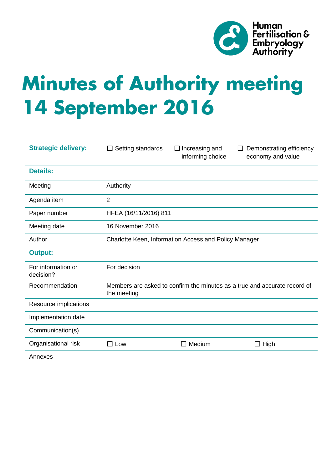

# **Minutes of Authority meeting 14 September 2016**

| <b>Strategic delivery:</b>      | Setting standards<br>⊔                                                                   | $\Box$ Increasing and<br>informing choice | Demonstrating efficiency<br>economy and value |
|---------------------------------|------------------------------------------------------------------------------------------|-------------------------------------------|-----------------------------------------------|
| <b>Details:</b>                 |                                                                                          |                                           |                                               |
| Meeting                         | Authority                                                                                |                                           |                                               |
| Agenda item                     | $\overline{2}$                                                                           |                                           |                                               |
| Paper number                    | HFEA (16/11/2016) 811                                                                    |                                           |                                               |
| Meeting date                    | 16 November 2016                                                                         |                                           |                                               |
| Author                          | Charlotte Keen, Information Access and Policy Manager                                    |                                           |                                               |
| <b>Output:</b>                  |                                                                                          |                                           |                                               |
| For information or<br>decision? | For decision                                                                             |                                           |                                               |
| Recommendation                  | Members are asked to confirm the minutes as a true and accurate record of<br>the meeting |                                           |                                               |
| Resource implications           |                                                                                          |                                           |                                               |
| Implementation date             |                                                                                          |                                           |                                               |
| Communication(s)                |                                                                                          |                                           |                                               |
| Organisational risk             | Low<br>$\Box$                                                                            | Medium<br>$\Box$                          | High<br>$\Box$                                |
|                                 |                                                                                          |                                           |                                               |

Annexes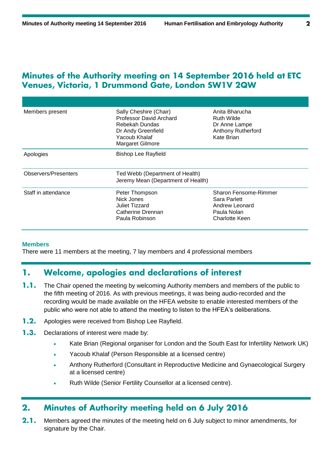# Minutes of the Authority meeting on 14 September 2016 held at ETC Venues, Victoria, 1 Drummond Gate, London SW1V 2QW

| Members present      | Sally Cheshire (Chair)<br><b>Professor David Archard</b><br>Rebekah Dundas<br>Dr Andy Greenfield<br>Yacoub Khalaf<br>Margaret Gilmore | Anita Bharucha<br>Ruth Wilde<br>Dr Anne Lampe<br><b>Anthony Rutherford</b><br>Kate Brian |  |
|----------------------|---------------------------------------------------------------------------------------------------------------------------------------|------------------------------------------------------------------------------------------|--|
| Apologies            | <b>Bishop Lee Rayfield</b>                                                                                                            |                                                                                          |  |
| Observers/Presenters | Ted Webb (Department of Health)<br>Jeremy Mean (Department of Health)                                                                 |                                                                                          |  |
| Staff in attendance  | Peter Thompson<br>Nick Jones<br>Juliet Tizzard<br>Catherine Drennan<br>Paula Robinson                                                 | Sharon Fensome-Rimmer<br>Sara Parlett<br>Andrew Leonard<br>Paula Nolan<br>Charlotte Keen |  |

# **Members**

There were 11 members at the meeting, 7 lay members and 4 professional members

## Welcome, apologies and declarations of interest 1.

- $1.1.$ The Chair opened the meeting by welcoming Authority members and members of the public to the fifth meeting of 2016. As with previous meetings, it was being audio-recorded and the recording would be made available on the HFEA website to enable interested members of the public who were not able to attend the meeting to listen to the HFEA's deliberations.
- $1.2.$ Apologies were received from Bishop Lee Rayfield.
- $1.3.$ Declarations of interest were made by:
	- Kate Brian (Regional organiser for London and the South East for Infertility Network UK)
	- Yacoub Khalaf (Person Responsible at a licensed centre)
	- Anthony Rutherford (Consultant in Reproductive Medicine and Gynaecological Surgery at a licensed centre)
	- Ruth Wilde (Senior Fertility Counsellor at a licensed centre).

## Minutes of Authority meeting held on 6 July 2016  $2.$

 $2.1.$ Members agreed the minutes of the meeting held on 6 July subject to minor amendments, for signature by the Chair.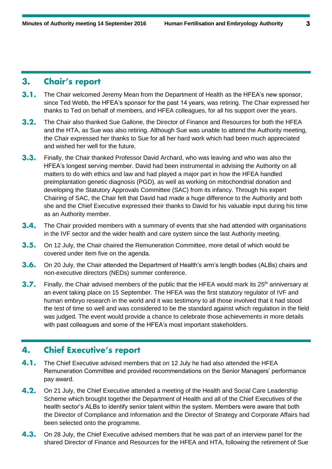#### **Chair's report**  $3.$

- $3.1.$ The Chair welcomed Jeremy Mean from the Department of Health as the HFEA's new sponsor, since Ted Webb, the HFEA's sponsor for the past 14 years, was retiring. The Chair expressed her thanks to Ted on behalf of members, and HFEA colleagues, for all his support over the years.
- $3.2.$ The Chair also thanked Sue Gallone, the Director of Finance and Resources for both the HFEA and the HTA, as Sue was also retiring. Although Sue was unable to attend the Authority meeting, the Chair expressed her thanks to Sue for all her hard work which had been much appreciated and wished her well for the future.
- $3.3.$ Finally, the Chair thanked Professor David Archard, who was leaving and who was also the HFEA's longest serving member. David had been instrumental in advising the Authority on all matters to do with ethics and law and had played a major part in how the HFEA handled preimplantation genetic diagnosis (PGD), as well as working on mitochondrial donation and developing the Statutory Approvals Committee (SAC) from its infancy. Through his expert Chairing of SAC, the Chair felt that David had made a huge difference to the Authority and both she and the Chief Executive expressed their thanks to David for his valuable input during his time as an Authority member.
- $3.4.$ The Chair provided members with a summary of events that she had attended with organisations in the IVF sector and the wider health and care system since the last Authority meeting.
- $3.5.$ On 12 July, the Chair chaired the Remuneration Committee, more detail of which would be covered under item five on the agenda.
- $3.6.$ On 20 July, the Chair attended the Department of Health's arm's length bodies (ALBs) chairs and non-executive directors (NEDs) summer conference.
- $3.7.$ Finally, the Chair advised members of the public that the HFEA would mark its  $25<sup>th</sup>$  anniversary at an event taking place on 15 September. The HFEA was the first statutory regulator of IVF and human embryo research in the world and it was testimony to all those involved that it had stood the test of time so well and was considered to be the standard against which regulation in the field was judged. The event would provide a chance to celebrate those achievements in more details with past colleagues and some of the HFEA's most important stakeholders.

#### **Chief Executive's report** 4.

- $4.1.$ The Chief Executive advised members that on 12 July he had also attended the HFEA Remuneration Committee and provided recommendations on the Senior Managers' performance pay award.
- $4.2.$ On 21 July, the Chief Executive attended a meeting of the Health and Social Care Leadership Scheme which brought together the Department of Health and all of the Chief Executives of the health sector's ALBs to identify senior talent within the system. Members were aware that both the Director of Compliance and Information and the Director of Strategy and Corporate Affairs had been selected onto the programme.
- $4.3.$ On 28 July, the Chief Executive advised members that he was part of an interview panel for the shared Director of Finance and Resources for the HFEA and HTA, following the retirement of Sue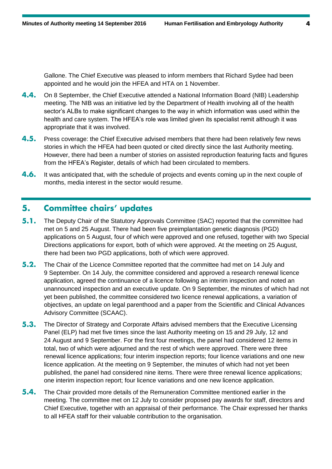Gallone. The Chief Executive was pleased to inform members that Richard Sydee had been appointed and he would join the HFEA and HTA on 1 November.

- 4.4. On 8 September, the Chief Executive attended a National Information Board (NIB) Leadership meeting. The NIB was an initiative led by the Department of Health involving all of the health sector's ALBs to make significant changes to the way in which information was used within the health and care system. The HFEA's role was limited given its specialist remit although it was appropriate that it was involved.
- $4.5.$ Press coverage: the Chief Executive advised members that there had been relatively few news stories in which the HFEA had been quoted or cited directly since the last Authority meeting. However, there had been a number of stories on assisted reproduction featuring facts and figures from the HFEA's Register, details of which had been circulated to members.
- $4.6.$ It was anticipated that, with the schedule of projects and events coming up in the next couple of months, media interest in the sector would resume.

#### 5. **Committee chairs' updates**

- $5.1.$ The Deputy Chair of the Statutory Approvals Committee (SAC) reported that the committee had met on 5 and 25 August. There had been five preimplantation genetic diagnosis (PGD) applications on 5 August, four of which were approved and one refused, together with two Special Directions applications for export, both of which were approved. At the meeting on 25 August, there had been two PGD applications, both of which were approved.
- $5.2.$ The Chair of the Licence Committee reported that the committee had met on 14 July and 9 September. On 14 July, the committee considered and approved a research renewal licence application, agreed the continuance of a licence following an interim inspection and noted an unannounced inspection and an executive update. On 9 September, the minutes of which had not yet been published, the committee considered two licence renewal applications, a variation of objectives, an update on legal parenthood and a paper from the Scientific and Clinical Advances Advisory Committee (SCAAC).
- $5.3.$ The Director of Strategy and Corporate Affairs advised members that the Executive Licensing Panel (ELP) had met five times since the last Authority meeting on 15 and 29 July, 12 and 24 August and 9 September. For the first four meetings, the panel had considered 12 items in total, two of which were adjourned and the rest of which were approved. There were three renewal licence applications; four interim inspection reports; four licence variations and one new licence application. At the meeting on 9 September, the minutes of which had not yet been published, the panel had considered nine items. There were three renewal licence applications; one interim inspection report; four licence variations and one new licence application.
- $5.4.$ The Chair provided more details of the Remuneration Committee mentioned earlier in the meeting. The committee met on 12 July to consider proposed pay awards for staff, directors and Chief Executive, together with an appraisal of their performance. The Chair expressed her thanks to all HFEA staff for their valuable contribution to the organisation.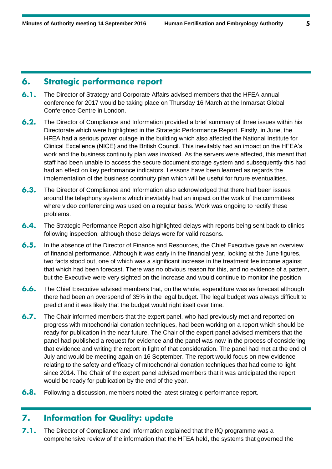# **Strategic performance report** 6.

- $6.1.$ The Director of Strategy and Corporate Affairs advised members that the HFEA annual conference for 2017 would be taking place on Thursday 16 March at the Inmarsat Global Conference Centre in London.
- $6.2.$ The Director of Compliance and Information provided a brief summary of three issues within his Directorate which were highlighted in the Strategic Performance Report. Firstly, in June, the HFEA had a serious power outage in the building which also affected the National Institute for Clinical Excellence (NICE) and the British Council. This inevitably had an impact on the HFEA's work and the business continuity plan was invoked. As the servers were affected, this meant that staff had been unable to access the secure document storage system and subsequently this had had an effect on key performance indicators. Lessons have been learned as regards the implementation of the business continuity plan which will be useful for future eventualities.
- $6.3.$ The Director of Compliance and Information also acknowledged that there had been issues around the telephony systems which inevitably had an impact on the work of the committees where video conferencing was used on a regular basis. Work was ongoing to rectify these problems.
- $6.4.$ The Strategic Performance Report also highlighted delays with reports being sent back to clinics following inspection, although those delays were for valid reasons.
- $6.5.$ In the absence of the Director of Finance and Resources, the Chief Executive gave an overview of financial performance. Although it was early in the financial year, looking at the June figures, two facts stood out, one of which was a significant increase in the treatment fee income against that which had been forecast. There was no obvious reason for this, and no evidence of a pattern, but the Executive were very sighted on the increase and would continue to monitor the position.
- $6.6.$ The Chief Executive advised members that, on the whole, expenditure was as forecast although there had been an overspend of 35% in the legal budget. The legal budget was always difficult to predict and it was likely that the budget would right itself over time.
- $6.7.$ The Chair informed members that the expert panel, who had previously met and reported on progress with mitochondrial donation techniques, had been working on a report which should be ready for publication in the near future. The Chair of the expert panel advised members that the panel had published a request for evidence and the panel was now in the process of considering that evidence and writing the report in light of that consideration. The panel had met at the end of July and would be meeting again on 16 September. The report would focus on new evidence relating to the safety and efficacy of mitochondrial donation techniques that had come to light since 2014. The Chair of the expert panel advised members that it was anticipated the report would be ready for publication by the end of the year.
- $6.8.$ Following a discussion, members noted the latest strategic performance report.

#### **Information for Quality: update**  $\mathbf{z}$

 $7.1.$ The Director of Compliance and Information explained that the IfQ programme was a comprehensive review of the information that the HFEA held, the systems that governed the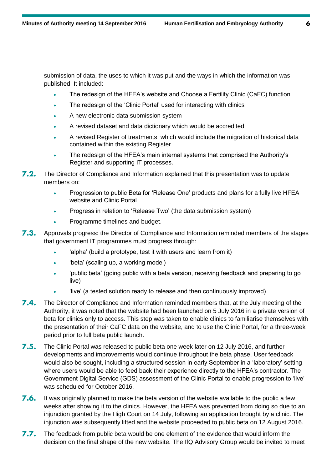submission of data, the uses to which it was put and the ways in which the information was published. It included:

- The redesign of the HFEA's website and Choose a Fertility Clinic (CaFC) function
- The redesign of the 'Clinic Portal' used for interacting with clinics
- A new electronic data submission system
- A revised dataset and data dictionary which would be accredited
- A revised Register of treatments, which would include the migration of historical data contained within the existing Register
- The redesign of the HFEA's main internal systems that comprised the Authority's Register and supporting IT processes.
- $7.2.$ The Director of Compliance and Information explained that this presentation was to update members on:
	- Progression to public Beta for 'Release One' products and plans for a fully live HFEA website and Clinic Portal
	- Progress in relation to 'Release Two' (the data submission system)
	- Programme timelines and budget.
- 7.3. Approvals progress: the Director of Compliance and Information reminded members of the stages that government IT programmes must progress through:
	- 'alpha' (build a prototype, test it with users and learn from it)
	- 'beta' (scaling up, a working model)
	- 'public beta' (going public with a beta version, receiving feedback and preparing to go live)
		- 'live' (a tested solution ready to release and then continuously improved).
- $7.4.$ The Director of Compliance and Information reminded members that, at the July meeting of the Authority, it was noted that the website had been launched on 5 July 2016 in a private version of beta for clinics only to access. This step was taken to enable clinics to familiarise themselves with the presentation of their CaFC data on the website, and to use the Clinic Portal, for a three-week period prior to full beta public launch.
- $7.5.$ The Clinic Portal was released to public beta one week later on 12 July 2016, and further developments and improvements would continue throughout the beta phase. User feedback would also be sought, including a structured session in early September in a 'laboratory' setting where users would be able to feed back their experience directly to the HFEA's contractor. The Government Digital Service (GDS) assessment of the Clinic Portal to enable progression to 'live' was scheduled for October 2016.
- 7.6. It was originally planned to make the beta version of the website available to the public a few weeks after showing it to the clinics. However, the HFEA was prevented from doing so due to an injunction granted by the High Court on 14 July, following an application brought by a clinic. The injunction was subsequently lifted and the website proceeded to public beta on 12 August 2016.
- $7.7.$ The feedback from public beta would be one element of the evidence that would inform the decision on the final shape of the new website. The IfQ Advisory Group would be invited to meet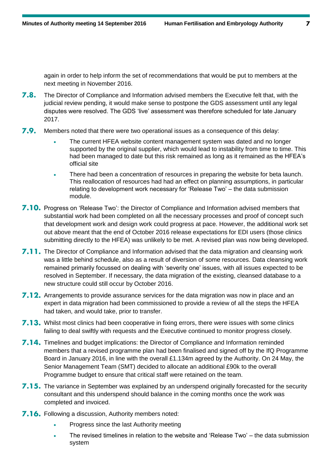again in order to help inform the set of recommendations that would be put to members at the next meeting in November 2016.

- $7.8.$ The Director of Compliance and Information advised members the Executive felt that, with the judicial review pending, it would make sense to postpone the GDS assessment until any legal disputes were resolved. The GDS 'live' assessment was therefore scheduled for late January 2017.
- $7.9.$ Members noted that there were two operational issues as a consequence of this delay:
	- The current HFEA website content management system was dated and no longer supported by the original supplier, which would lead to instability from time to time. This had been managed to date but this risk remained as long as it remained as the HFEA's official site
	- There had been a concentration of resources in preparing the website for beta launch. This reallocation of resources had had an effect on planning assumptions, in particular relating to development work necessary for 'Release Two' – the data submission module.
- 7.10. Progress on 'Release Two': the Director of Compliance and Information advised members that substantial work had been completed on all the necessary processes and proof of concept such that development work and design work could progress at pace. However, the additional work set out above meant that the end of October 2016 release expectations for EDI users (those clinics submitting directly to the HFEA) was unlikely to be met. A revised plan was now being developed.
- **7.11.** The Director of Compliance and Information advised that the data migration and cleansing work was a little behind schedule, also as a result of diversion of some resources. Data cleansing work remained primarily focussed on dealing with 'severity one' issues, with all issues expected to be resolved in September. If necessary, the data migration of the existing, cleansed database to a new structure could still occur by October 2016.
- 7.12. Arrangements to provide assurance services for the data migration was now in place and an expert in data migration had been commissioned to provide a review of all the steps the HFEA had taken, and would take, prior to transfer.
- 7.13. Whilst most clinics had been cooperative in fixing errors, there were issues with some clinics failing to deal swiftly with requests and the Executive continued to monitor progress closely.
- 7.14. Timelines and budget implications: the Director of Compliance and Information reminded members that a revised programme plan had been finalised and signed off by the IfQ Programme Board in January 2016, in line with the overall £1.134m agreed by the Authority. On 24 May, the Senior Management Team (SMT) decided to allocate an additional £90k to the overall Programme budget to ensure that critical staff were retained on the team.
- 7.15. The variance in September was explained by an underspend originally forecasted for the security consultant and this underspend should balance in the coming months once the work was completed and invoiced.
- **7.16.** Following a discussion, Authority members noted:
	- Progress since the last Authority meeting
	- The revised timelines in relation to the website and 'Release Two' the data submission system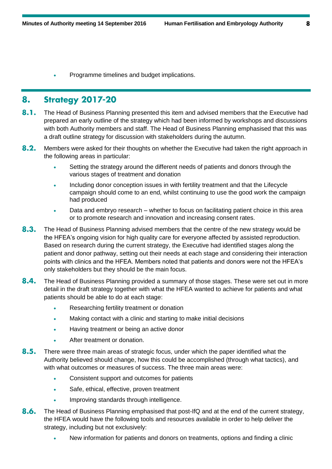Programme timelines and budget implications.

#### **Strategy 2017-20** 8.

- $8.1.$ The Head of Business Planning presented this item and advised members that the Executive had prepared an early outline of the strategy which had been informed by workshops and discussions with both Authority members and staff. The Head of Business Planning emphasised that this was a draft outline strategy for discussion with stakeholders during the autumn.
- $8.2.$ Members were asked for their thoughts on whether the Executive had taken the right approach in the following areas in particular:
	- Setting the strategy around the different needs of patients and donors through the various stages of treatment and donation
	- Including donor conception issues in with fertility treatment and that the Lifecycle campaign should come to an end, whilst continuing to use the good work the campaign had produced
	- Data and embryo research whether to focus on facilitating patient choice in this area or to promote research and innovation and increasing consent rates.
- $8.3.$ The Head of Business Planning advised members that the centre of the new strategy would be the HFEA's ongoing vision for high quality care for everyone affected by assisted reproduction. Based on research during the current strategy, the Executive had identified stages along the patient and donor pathway, setting out their needs at each stage and considering their interaction points with clinics and the HFEA. Members noted that patients and donors were not the HFEA's only stakeholders but they should be the main focus.
- $8.4.$ The Head of Business Planning provided a summary of those stages. These were set out in more detail in the draft strategy together with what the HFEA wanted to achieve for patients and what patients should be able to do at each stage:
	- Researching fertility treatment or donation
	- Making contact with a clinic and starting to make initial decisions
	- Having treatment or being an active donor
	- After treatment or donation.
- $8.5.$ There were three main areas of strategic focus, under which the paper identified what the Authority believed should change, how this could be accomplished (through what tactics), and with what outcomes or measures of success. The three main areas were:
	- **Consistent support and outcomes for patients**
	- Safe, ethical, effective, proven treatment
	- . Improving standards through intelligence.
- $8.6.$ The Head of Business Planning emphasised that post-IfQ and at the end of the current strategy, the HFEA would have the following tools and resources available in order to help deliver the strategy, including but not exclusively:
	- New information for patients and donors on treatments, options and finding a clinic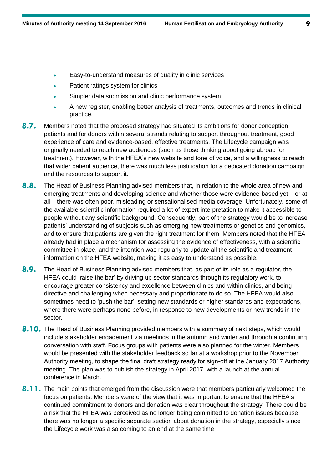- Easy-to-understand measures of quality in clinic services
- Patient ratings system for clinics
- Simpler data submission and clinic performance system
- A new register, enabling better analysis of treatments, outcomes and trends in clinical practice.
- $8.7.$ Members noted that the proposed strategy had situated its ambitions for donor conception patients and for donors within several strands relating to support throughout treatment, good experience of care and evidence-based, effective treatments. The Lifecycle campaign was originally needed to reach new audiences (such as those thinking about going abroad for treatment). However, with the HFEA's new website and tone of voice, and a willingness to reach that wider patient audience, there was much less justification for a dedicated donation campaign and the resources to support it.
- $8.8.$ The Head of Business Planning advised members that, in relation to the whole area of new and emerging treatments and developing science and whether those were evidence-based yet – or at all – there was often poor, misleading or sensationalised media coverage. Unfortunately, some of the available scientific information required a lot of expert interpretation to make it accessible to people without any scientific background. Consequently, part of the strategy would be to increase patients' understanding of subjects such as emerging new treatments or genetics and genomics, and to ensure that patients are given the right treatment for them. Members noted that the HFEA already had in place a mechanism for assessing the evidence of effectiveness, with a scientific committee in place, and the intention was regularly to update all the scientific and treatment information on the HFEA website, making it as easy to understand as possible.
- 8.9. The Head of Business Planning advised members that, as part of its role as a regulator, the HFEA could 'raise the bar' by driving up sector standards through its regulatory work, to encourage greater consistency and excellence between clinics and within clinics, and being directive and challenging when necessary and proportionate to do so. The HFEA would also sometimes need to 'push the bar', setting new standards or higher standards and expectations, where there were perhaps none before, in response to new developments or new trends in the sector.
- 8.10. The Head of Business Planning provided members with a summary of next steps, which would include stakeholder engagement via meetings in the autumn and winter and through a continuing conversation with staff. Focus groups with patients were also planned for the winter. Members would be presented with the stakeholder feedback so far at a workshop prior to the November Authority meeting, to shape the final draft strategy ready for sign-off at the January 2017 Authority meeting. The plan was to publish the strategy in April 2017, with a launch at the annual conference in March.
- 8.11. The main points that emerged from the discussion were that members particularly welcomed the focus on patients. Members were of the view that it was important to ensure that the HFEA's continued commitment to donors and donation was clear throughout the strategy. There could be a risk that the HFEA was perceived as no longer being committed to donation issues because there was no longer a specific separate section about donation in the strategy, especially since the Lifecycle work was also coming to an end at the same time.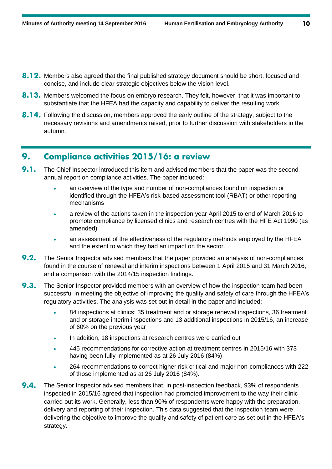- 8.12. Members also agreed that the final published strategy document should be short, focused and concise, and include clear strategic objectives below the vision level.
- **8.13.** Members welcomed the focus on embryo research. They felt, however, that it was important to substantiate that the HFEA had the capacity and capability to deliver the resulting work.
- 8.14. Following the discussion, members approved the early outline of the strategy, subject to the necessary revisions and amendments raised, prior to further discussion with stakeholders in the autumn.

#### **Compliance activities 2015/16: a review** 9.

- $9.1.$ The Chief Inspector introduced this item and advised members that the paper was the second annual report on compliance activities. The paper included:
	- an overview of the type and number of non-compliances found on inspection or identified through the HFEA's risk-based assessment tool (RBAT) or other reporting mechanisms
	- a review of the actions taken in the inspection year April 2015 to end of March 2016 to promote compliance by licensed clinics and research centres with the HFE Act 1990 (as amended)
	- an assessment of the effectiveness of the regulatory methods employed by the HFEA and the extent to which they had an impact on the sector.
- $9.2.$ The Senior Inspector advised members that the paper provided an analysis of non-compliances found in the course of renewal and interim inspections between 1 April 2015 and 31 March 2016, and a comparison with the 2014/15 inspection findings.
- $9.3.$ The Senior Inspector provided members with an overview of how the inspection team had been successful in meeting the objective of improving the quality and safety of care through the HFEA's regulatory activities. The analysis was set out in detail in the paper and included:
	- 84 inspections at clinics: 35 treatment and or storage renewal inspections, 36 treatment and or storage interim inspections and 13 additional inspections in 2015/16, an increase of 60% on the previous year
	- In addition, 18 inspections at research centres were carried out
	- 445 recommendations for corrective action at treatment centres in 2015/16 with 373 having been fully implemented as at 26 July 2016 (84%)
	- 264 recommendations to correct higher risk critical and major non-compliances with 222 of those implemented as at 26 July 2016 (84%).
- $9.4.$ The Senior Inspector advised members that, in post-inspection feedback, 93% of respondents inspected in 2015/16 agreed that inspection had promoted improvement to the way their clinic carried out its work. Generally, less than 90% of respondents were happy with the preparation, delivery and reporting of their inspection. This data suggested that the inspection team were delivering the objective to improve the quality and safety of patient care as set out in the HFEA's strategy.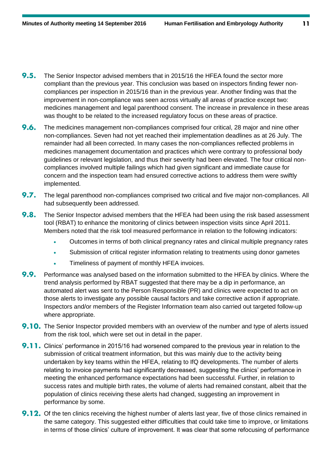- $9.5.$ The Senior Inspector advised members that in 2015/16 the HFEA found the sector more compliant than the previous year. This conclusion was based on inspectors finding fewer noncompliances per inspection in 2015/16 than in the previous year. Another finding was that the improvement in non-compliance was seen across virtually all areas of practice except two: medicines management and legal parenthood consent. The increase in prevalence in these areas was thought to be related to the increased regulatory focus on these areas of practice.
- $9.6.$ The medicines management non-compliances comprised four critical, 28 major and nine other non-compliances. Seven had not yet reached their implementation deadlines as at 26 July. The remainder had all been corrected. In many cases the non-compliances reflected problems in medicines management documentation and practices which were contrary to professional body guidelines or relevant legislation, and thus their severity had been elevated. The four critical noncompliances involved multiple failings which had given significant and immediate cause for concern and the inspection team had ensured corrective actions to address them were swiftly implemented.
- $9.7.$ The legal parenthood non-compliances comprised two critical and five major non-compliances. All had subsequently been addressed.
- $9.8.$ The Senior Inspector advised members that the HFEA had been using the risk based assessment tool (RBAT) to enhance the monitoring of clinics between inspection visits since April 2011. Members noted that the risk tool measured performance in relation to the following indicators:
	- Outcomes in terms of both clinical pregnancy rates and clinical multiple pregnancy rates
	- Submission of critical register information relating to treatments using donor gametes
	- Timeliness of payment of monthly HFEA invoices.
- $9.9.$ Performance was analysed based on the information submitted to the HFEA by clinics. Where the trend analysis performed by RBAT suggested that there may be a dip in performance, an automated alert was sent to the Person Responsible (PR) and clinics were expected to act on those alerts to investigate any possible causal factors and take corrective action if appropriate. Inspectors and/or members of the Register Information team also carried out targeted follow-up where appropriate.
- **9.10.** The Senior Inspector provided members with an overview of the number and type of alerts issued from the risk tool, which were set out in detail in the paper.
- 9.11. Clinics' performance in 2015/16 had worsened compared to the previous year in relation to the submission of critical treatment information, but this was mainly due to the activity being undertaken by key teams within the HFEA, relating to IfQ developments. The number of alerts relating to invoice payments had significantly decreased, suggesting the clinics' performance in meeting the enhanced performance expectations had been successful. Further, in relation to success rates and multiple birth rates, the volume of alerts had remained constant, albeit that the population of clinics receiving these alerts had changed, suggesting an improvement in performance by some.
- 9.12. Of the ten clinics receiving the highest number of alerts last year, five of those clinics remained in the same category. This suggested either difficulties that could take time to improve, or limitations in terms of those clinics' culture of improvement. It was clear that some refocusing of performance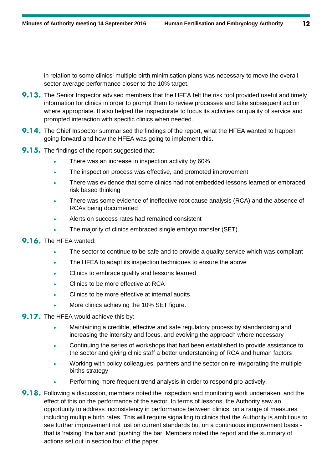in relation to some clinics' multiple birth minimisation plans was necessary to move the overall sector average performance closer to the 10% target.

- **9.13.** The Senior Inspector advised members that the HFEA felt the risk tool provided useful and timely information for clinics in order to prompt them to review processes and take subsequent action where appropriate. It also helped the inspectorate to focus its activities on quality of service and prompted interaction with specific clinics when needed.
- 9.14. The Chief Inspector summarised the findings of the report, what the HFEA wanted to happen going forward and how the HFEA was going to implement this.
- **9.15.** The findings of the report suggested that:
	- There was an increase in inspection activity by 60%
	- The inspection process was effective, and promoted improvement
	- There was evidence that some clinics had not embedded lessons learned or embraced risk based thinking
	- There was some evidence of ineffective root cause analysis (RCA) and the absence of RCAs being documented
	- Alerts on success rates had remained consistent
	- The majority of clinics embraced single embryo transfer (SET).

# 9.16. The HFEA wanted:

- The sector to continue to be safe and to provide a quality service which was compliant
- The HFEA to adapt its inspection techniques to ensure the above
- Clinics to embrace quality and lessons learned
- Clinics to be more effective at RCA
- Clinics to be more effective at internal audits
- More clinics achieving the 10% SET figure.

# 9.17. The HFEA would achieve this by:

- Maintaining a credible, effective and safe regulatory process by standardising and increasing the intensity and focus, and evolving the approach where necessary
- Continuing the series of workshops that had been established to provide assistance to the sector and giving clinic staff a better understanding of RCA and human factors
- Working with policy colleagues, partners and the sector on re-invigorating the multiple births strategy
- Performing more frequent trend analysis in order to respond pro-actively.
- 9.18. Following a discussion, members noted the inspection and monitoring work undertaken, and the effect of this on the performance of the sector. In terms of lessons, the Authority saw an opportunity to address inconsistency in performance between clinics, on a range of measures including multiple birth rates. This will require signalling to clinics that the Authority is ambitious to see further improvement not just on current standards but on a continuous improvement basis that is 'raising' the bar and 'pushing' the bar. Members noted the report and the summary of actions set out in section four of the paper.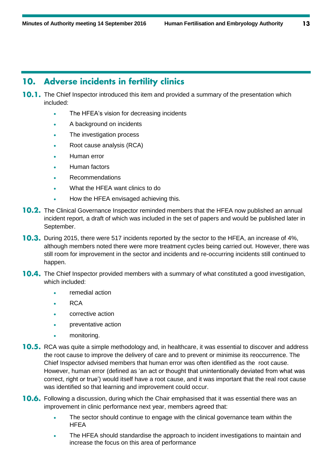# **Adverse incidents in fertility clinics** 10.

- **10.1.** The Chief Inspector introduced this item and provided a summary of the presentation which included:
	- The HFEA's vision for decreasing incidents
	- A background on incidents
	- The investigation process
	- Root cause analysis (RCA)
	- Human error
	- Human factors
	- Recommendations
	- What the HFEA want clinics to do
	- How the HFEA envisaged achieving this.
- **10.2.** The Clinical Governance Inspector reminded members that the HFEA now published an annual incident report, a draft of which was included in the set of papers and would be published later in September.
- **10.3.** During 2015, there were 517 incidents reported by the sector to the HFEA, an increase of 4%, although members noted there were more treatment cycles being carried out. However, there was still room for improvement in the sector and incidents and re-occurring incidents still continued to happen.
- **10.4.** The Chief Inspector provided members with a summary of what constituted a good investigation, which included:
	- remedial action
	- RCA
	- corrective action
	- preventative action
	- monitoring.
- **10.5.** RCA was quite a simple methodology and, in healthcare, it was essential to discover and address the root cause to improve the delivery of care and to prevent or minimise its reoccurrence. The Chief Inspector advised members that human error was often identified as the root cause. However, human error (defined as 'an act or thought that unintentionally deviated from what was correct, right or true') would itself have a root cause, and it was important that the real root cause was identified so that learning and improvement could occur.
- **10.6.** Following a discussion, during which the Chair emphasised that it was essential there was an improvement in clinic performance next year, members agreed that:
	- The sector should continue to engage with the clinical governance team within the **HFEA**
	- The HFEA should standardise the approach to incident investigations to maintain and increase the focus on this area of performance